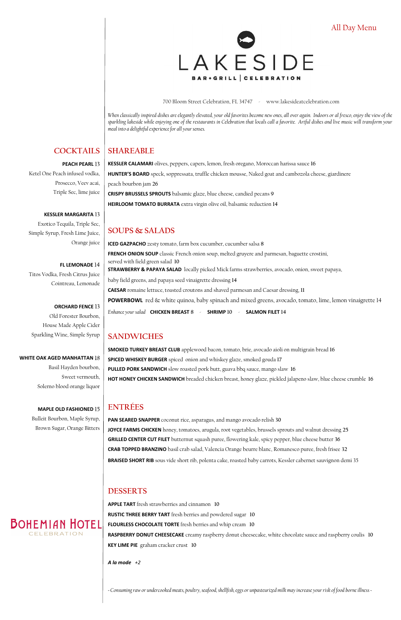*When classically inspired dishes are elegantly elevated, your old favorites become new ones, all over again. Indoors or al fresco, enjoy the view of the sparkling lakeside while enjoying one of the restaurants in Celebration that locals call a favorite. Artful dishes and live music will transform your meal into a delightful experience for all your senses.*

# **SHAREABLE**

**KESSLER CALAMARI** olives, peppers, capers, lemon, fresh oregano, Moroccan harissa sauce **16 HUNTER'S BOARD** speck, soppressata, truffle chicken mousse, Naked goat and cambozola cheese, giardinere peach bourbon jam **26 CRISPY BRUSSELS SPROUTS** balsamic glaze, blue cheese, candied pecans **9 HEIRLOOM TOMATO BURRATA** extra virgin olive oil, balsamic reduction **14**

# **SOUPS & SALADS**

**ICED GAZPACHO** zesty tomato, farm box cucumber, cucumber salsa **8 FRENCH ONION SOUP** classic French onion soup, melted gruyere and parmesan, baguette crostini, served with field green salad **10 STRAWBERRY & PAPAYA SALAD** locally picked Mick farms strawberries, avocado, onion, sweet papaya, baby field greens, and papaya seed vinaigrette dressing **14 CAESAR** romaine lettuce, toasted croutons and shaved parmesan and Caesar dressing, **11 POWERBOWL** red & white quinoa, baby spinach and mixed greens, avocado, tomato, lime, lemon vinaigrette 14 *Enhance your salad* **CHICKEN BREAST 8** - **SHRIMP 10** - **SALMON FILET 14**

### **SANDWICHES**

**SMOKED TURKEY BREAST CLUB** applewood bacon, tomato, brie, avocado aioli on multigrain bread **16 SPICED WHISKEY BURGER** spiced onion and whiskey glaze, smoked gouda **17 PULLED PORK SANDWICH** slow roasted pork butt, guava bbq sauce, mango slaw **16 HOT HONEY CHICKEN SANDWICH** breaded chicken breast, honey glaze, pickled jalapeno slaw, blue cheese crumble **16**

# **ENTRÉES**

**PAN SEARED SNAPPER** coconut rice, asparagus, and mango avocado relish **30 JOYCE FARMS CHICKEN** honey, tomatoes, arugula, root vegetables, brussels sprouts and walnut dressing **25 GRILLED CENTER CUT FILET** butternut squash puree, flowering kale, spicy pepper, blue cheese butter **36 CRAB TOPPED BRANZINO** basil crab salad, Valencia Orange beurre blanc, Romanesco puree, fresh frisee **32**

**BRAISED SHORT RIB** sous vide short rib, polenta cake, roasted baby carrots, Kessler cabernet sauvignon demi 35

### **DESSERTS**

**APPLE TART** fresh strawberries and cinnamon **10**

**RUSTIC THREE BERRY TART** fresh berries and powdered sugar **10**

**FLOURLESS CHOCOLATE TORTE** fresh berries and whip cream **10**

**RASPBERRY DONUT CHEESECAKE** creamy raspberry donut cheesecake, white chocolate sauce and raspberry coulis **10 KEY LIME PIE** graham cracker crust **10**

*A la mode +2*

*~ Consuming raw or undercooked meats, poultry, seafood, shellfish, eggs or unpasteurized milk may increase your risk of food borne illness ~*

# **BOHEMIAN HOTEL**

### **COCKTAILS**

### **PEACH PEARL**

Ketel One Peach infused vodka, Prosecco, Veev acai, Triple Sec, lime juice

**KESSLER MARGARITA**  Exotico Tequila, Triple Sec, Simple Syrup, Fresh Lime Juice, Orange juice

**FL LEMONADE**  Titos Vodka, Fresh Citrus Juice Cointreau, Lemonade

### **ORCHARD FENCE**

Old Forester Bourbon, House Made Apple Cider Sparkling Wine, Simple Syrup

### **WHITE OAK AGED MANHATTAN**

Basil Hayden bourbon, Sweet vermouth, Solerno blood orange liquor

**MAPLE OLD FASHIONED**  Bulleit Bourbon, Maple Syrup, Brown Sugar, Orange Bitters All Day Menu



700 Bloom Street Celebration, FL 34747 - www.lakesideatcelebration.com